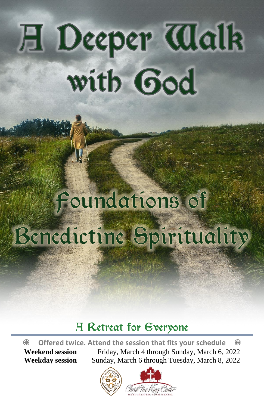# **H** Deeper Walk with God

## Foundations of Benedictine Spirituality

### **H** Retreat for Everyone

 **Offered twice. Attend the session that fits your schedule**  ⊕ **Weekend session** Friday, March 4 through Sunday, March 6, 2022 **Weekday session** Sunday, March 6 through Tuesday, March 8, 2022

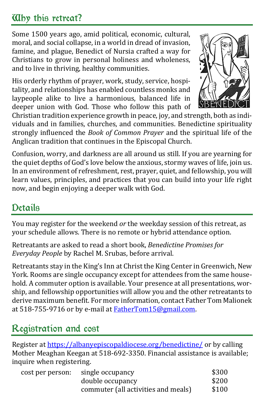#### **Alby this retreat?**

Some 1500 years ago, amid political, economic, cultural, moral, and social collapse, in a world in dread of invasion, famine, and plague, Benedict of Nursia crafted a way for Christians to grow in personal holiness and wholeness, and to live in thriving, healthy communities.

His orderly rhythm of prayer, work, study, service, hospitality, and relationships has enabled countless monks and laypeople alike to live a harmonious, balanced life in deeper union with God. Those who follow this path of



Christian tradition experience growth in peace, joy, and strength, both as individuals and in families, churches, and communities. Benedictine spirituality strongly influenced the *Book of Common Prayer* and the spiritual life of the Anglican tradition that continues in the Episcopal Church.

Confusion, worry, and darkness are all around us still. If you are yearning for the quiet depths of God's love below the anxious, stormy waves of life, join us. In an environment of refreshment, rest, prayer, quiet, and fellowship, you will learn values, principles, and practices that you can build into your life right now, and begin enjoying a deeper walk with God.

#### Details

You may register for the weekend *or* the weekday session of this retreat, as your schedule allows. There is no remote or hybrid attendance option.

Retreatants are asked to read a short book, *Benedictine Promises for Everyday People* by Rachel M. Srubas, before arrival.

Retreatants stay in the King's Inn at Christ the King Center in Greenwich, New York. Rooms are single occupancy except for attendees from the same household. A commuter option is available. Your presence at all presentations, worship, and fellowship opportunities will allow you and the other retreatants to derive maximum benefit. For more information, contact Father Tom Malionek at 518-755-9716 or by e-mail a[t FatherTom15@gmail.com.](mailto:FatherTom15@gmail.com)

#### Registration and cost

Register at<https://albanyepiscopaldiocese.org/benedictine/> or by calling Mother Meaghan Keegan at 518-692-3350. Financial assistance is available; inquire when registering.

| cost per person: | single occupancy                    | \$300 |
|------------------|-------------------------------------|-------|
|                  | double occupancy                    | \$200 |
|                  | commuter (all activities and meals) | \$100 |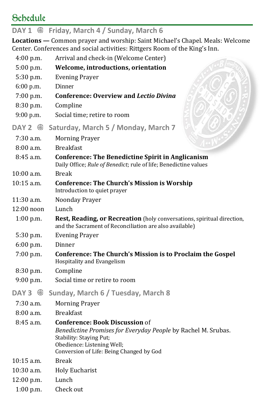#### Schedule

#### **DAY 1**  $\oplus$  **Friday, March 4 / Sunday, March 6**

**Locations —** Common prayer and worship: Saint Michael's Chapel. Meals: Welcome Center. Conferences and social activities: Rittgers Room of the King's Inn.

| 4:00 p.m.      | Arrival and check-in (Welcome Center)                                                                                                                                                                       |
|----------------|-------------------------------------------------------------------------------------------------------------------------------------------------------------------------------------------------------------|
| $5:00$ p.m.    | Welcome, introductions, orientation                                                                                                                                                                         |
| 5:30 p.m.      | <b>Evening Prayer</b>                                                                                                                                                                                       |
| $6:00$ p.m.    | Dinner                                                                                                                                                                                                      |
| $7:00$ p.m.    | <b>Conference: Overview and Lectio Divina</b>                                                                                                                                                               |
| 8:30 p.m.      | Compline                                                                                                                                                                                                    |
| 9:00 p.m.      | Social time; retire to room                                                                                                                                                                                 |
| DAY 2 $\oplus$ | Saturday, March 5 / Monday, March 7                                                                                                                                                                         |
| $7:30$ a.m.    | <b>Morning Prayer</b>                                                                                                                                                                                       |
| $8:00$ a.m.    | <b>Breakfast</b>                                                                                                                                                                                            |
| $8:45$ a.m.    | <b>Conference: The Benedictine Spirit in Anglicanism</b><br>Daily Office; Rule of Benedict; rule of life; Benedictine values                                                                                |
| $10:00$ a.m.   | <b>Break</b>                                                                                                                                                                                                |
| $10:15$ a.m.   | <b>Conference: The Church's Mission is Worship</b><br>Introduction to quiet prayer                                                                                                                          |
| 11:30 a.m.     | Noonday Prayer                                                                                                                                                                                              |
| $12:00$ noon   | Lunch                                                                                                                                                                                                       |
| $1:00$ p.m.    | Rest, Reading, or Recreation (holy conversations, spiritual direction,<br>and the Sacrament of Reconciliation are also available)                                                                           |
| 5:30 p.m.      | <b>Evening Prayer</b>                                                                                                                                                                                       |
| 6:00 p.m.      | Dinner                                                                                                                                                                                                      |
| 7:00 p.m.      | <b>Conference: The Church's Mission is to Proclaim the Gospel</b><br>Hospitality and Evangelism                                                                                                             |
| 8:30 p.m.      | Compline                                                                                                                                                                                                    |
| 9:00 p.m.      | Social time or retire to room                                                                                                                                                                               |
| DAY 3 $\oplus$ | Sunday, March 6 / Tuesday, March 8                                                                                                                                                                          |
| 7:30 a.m.      | <b>Morning Prayer</b>                                                                                                                                                                                       |
| 8:00a.m.       | <b>Breakfast</b>                                                                                                                                                                                            |
| 8:45 a.m.      | <b>Conference: Book Discussion of</b><br>Benedictine Promises for Everyday People by Rachel M. Srubas.<br>Stability: Staying Put;<br>Obedience: Listening Well;<br>Conversion of Life: Being Changed by God |
| $10:15$ a.m.   | <b>Break</b>                                                                                                                                                                                                |
| $10:30$ a.m.   | <b>Holy Eucharist</b>                                                                                                                                                                                       |
| 12:00 p.m.     | Lunch                                                                                                                                                                                                       |
| $1:00$ p.m.    | Check out                                                                                                                                                                                                   |